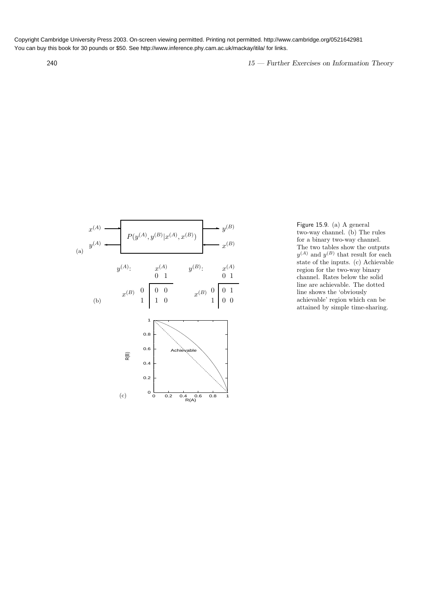240 15 — Further Exercises on Information Theory



Figure 15.9. (a) A general two-way channel. (b) The rules for a binary two-way channel. The two tables show the outputs  $y^{(A)}$  and  $y^{(B)}$  that result for each state of the inputs. (c) Achievable region for the two-way binary channel. Rates below the solid line are achievable. The dotted line shows the 'obviously achievable' region which can be attained by simple time-sharing.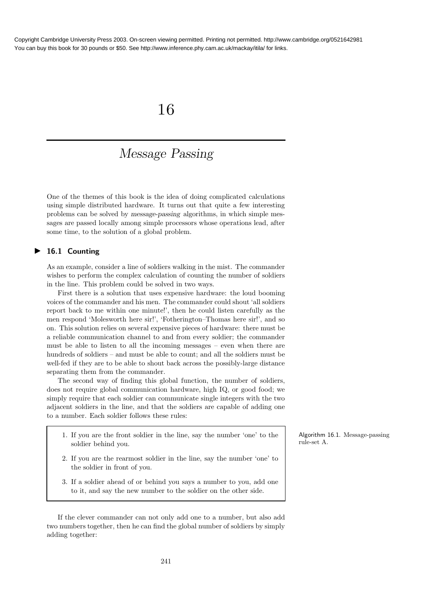# 16

# Message Passing

One of the themes of this book is the idea of doing complicated calculations using simple distributed hardware. It turns out that quite a few interesting problems can be solved by message-passing algorithms, in which simple messages are passed locally among simple processors whose operations lead, after some time, to the solution of a global problem.

# ▶ 16.1 Counting

As an example, consider a line of soldiers walking in the mist. The commander wishes to perform the complex calculation of counting the number of soldiers in the line. This problem could be solved in two ways.

First there is a solution that uses expensive hardware: the loud booming voices of the commander and his men. The commander could shout 'all soldiers report back to me within one minute!', then he could listen carefully as the men respond 'Molesworth here sir!', 'Fotherington–Thomas here sir!', and so on. This solution relies on several expensive pieces of hardware: there must be a reliable communication channel to and from every soldier; the commander must be able to listen to all the incoming messages – even when there are hundreds of soldiers – and must be able to count; and all the soldiers must be well-fed if they are to be able to shout back across the possibly-large distance separating them from the commander.

The second way of finding this global function, the number of soldiers, does not require global communication hardware, high IQ, or good food; we simply require that each soldier can communicate single integers with the two adjacent soldiers in the line, and that the soldiers are capable of adding one to a number. Each soldier follows these rules:

- 1. If you are the front soldier in the line, say the number 'one' to the soldier behind you.
- 2. If you are the rearmost soldier in the line, say the number 'one' to the soldier in front of you.
- 3. If a soldier ahead of or behind you says a number to you, add one to it, and say the new number to the soldier on the other side.

If the clever commander can not only add one to a number, but also add two numbers together, then he can find the global number of soldiers by simply adding together:

Algorithm 16.1. Message-passing rule-set A.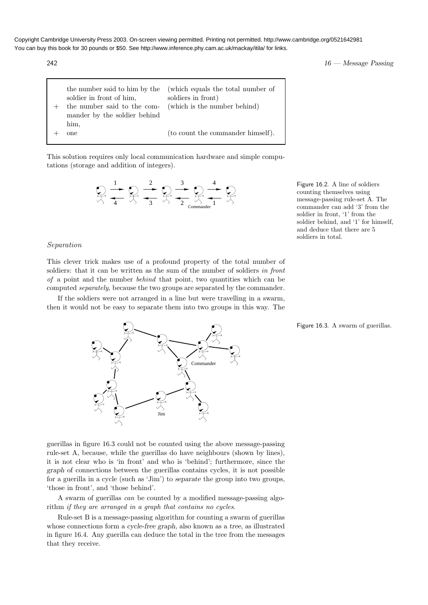$242$   $16$  — Message Passing

| soldier in front of him.<br>the number said to the com- (which is the number behind)<br>mander by the soldier behind | the number said to him by the (which equals the total number of<br>soldiers in front) |
|----------------------------------------------------------------------------------------------------------------------|---------------------------------------------------------------------------------------|
| him.<br>one                                                                                                          | (to count the commander himself).                                                     |

This solution requires only local communication hardware and simple computations (storage and addition of integers).



Figure 16.2. A line of soldiers counting themselves using message-passing rule-set A. The commander can add '3' from the soldier in front, '1' from the soldier behind, and '1' for himself, and deduce that there are 5 soldiers in total.

# Separation

This clever trick makes use of a profound property of the total number of soldiers: that it can be written as the sum of the number of soldiers in front of a point and the number behind that point, two quantities which can be computed separately, because the two groups are separated by the commander.

If the soldiers were not arranged in a line but were travelling in a swarm, then it would not be easy to separate them into two groups in this way. The

**Commande** 

Figure 16.3. A swarm of guerillas.

guerillas in figure 16.3 could not be counted using the above message-passing rule-set A, because, while the guerillas do have neighbours (shown by lines), it is not clear who is 'in front' and who is 'behind'; furthermore, since the graph of connections between the guerillas contains cycles, it is not possible for a guerilla in a cycle (such as 'Jim') to separate the group into two groups, 'those in front', and 'those behind'.

Jim

A swarm of guerillas can be counted by a modified message-passing algorithm if they are arranged in a graph that contains no cycles.

Rule-set B is a message-passing algorithm for counting a swarm of guerillas whose connections form a cycle-free graph, also known as a tree, as illustrated in figure 16.4. Any guerilla can deduce the total in the tree from the messages that they receive.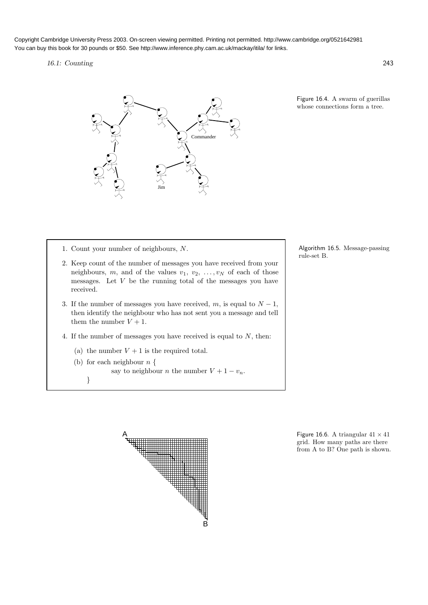# 16.1: Counting 243



Figure 16.4. A swarm of guerillas whose connections form a tree.

- 1. Count your number of neighbours, N.
- 2. Keep count of the number of messages you have received from your neighbours, m, and of the values  $v_1, v_2, \ldots, v_N$  of each of those messages. Let  $V$  be the running total of the messages you have received.
- 3. If the number of messages you have received, m, is equal to  $N-1$ , then identify the neighbour who has not sent you a message and tell them the number  $V + 1$ .
- 4. If the number of messages you have received is equal to  $N$ , then:
	- (a) the number  $V + 1$  is the required total.
	- (b) for each neighbour  $n \nvert$

say to neighbour *n* the number  $V + 1 - v_n$ .

}



Algorithm 16.5. Message-passing



grid. How many paths are there from A to B? One path is shown.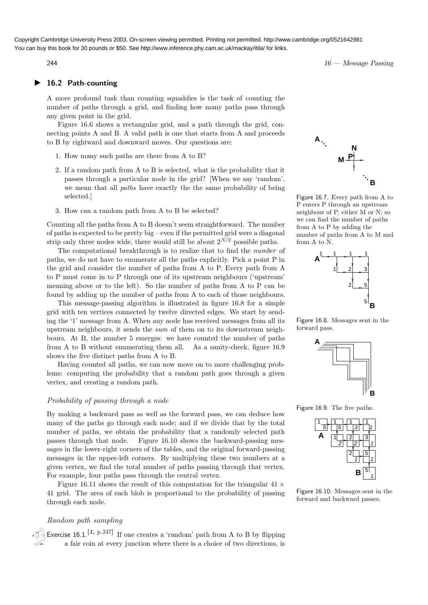# ▶ 16.2 Path-counting

A more profound task than counting squaddies is the task of counting the number of paths through a grid, and finding how many paths pass through any given point in the grid.

Figure 16.6 shows a rectangular grid, and a path through the grid, connecting points A and B. A valid path is one that starts from A and proceeds to B by rightward and downward moves. Our questions are:

- 1. How many such paths are there from A to B?
- 2. If a random path from A to B is selected, what is the probability that it passes through a particular node in the grid? [When we say 'random', we mean that all paths have exactly the the same probability of being selected.]
- 3. How can a random path from A to B be selected?

Counting all the paths from A to B doesn't seem straightforward. The number of paths is expected to be pretty big – even if the permitted grid were a diagonal strip only three nodes wide, there would still be about  $2^{N/2}$  possible paths.

The computational breakthrough is to realize that to find the number of paths, we do not have to enumerate all the paths explicitly. Pick a point P in the grid and consider the number of paths from A to P. Every path from A to P must come in to P through one of its upstream neighbours ('upstream' meaning above or to the left). So the number of paths from A to P can be found by adding up the number of paths from A to each of those neighbours.

This message-passing algorithm is illustrated in figure 16.8 for a simple grid with ten vertices connected by twelve directed edges. We start by sending the '1' message from A. When any node has received messages from all its upstream neighbours, it sends the sum of them on to its downstream neighbours. At B, the number 5 emerges: we have counted the number of paths from A to B without enumerating them all. As a sanity-check, figure 16.9 shows the five distinct paths from A to B.

Having counted all paths, we can now move on to more challenging problems: computing the probability that a random path goes through a given vertex, and creating a random path.

### Probability of passing through a node

By making a backward pass as well as the forward pass, we can deduce how many of the paths go through each node; and if we divide that by the total number of paths, we obtain the probability that a randomly selected path passes through that node. Figure 16.10 shows the backward-passing messages in the lower-right corners of the tables, and the original forward-passing messages in the upper-left corners. By multiplying these two numbers at a given vertex, we find the total number of paths passing through that vertex. For example, four paths pass through the central vertex.

Figure 16.11 shows the result of this computation for the triangular  $41 \times$ 41 grid. The area of each blob is proportional to the probability of passing through each node.

### Random path sampling

Exercise 16.1.<sup>[1, p.247]</sup> If one creates a 'random' path from A to B by flipping a fair coin at every junction where there is a choice of two directions, is

**P A B M N**

Figure 16.7. Every path from A to P enters P through an upstream neighbour of P, either M or N; so we can find the number of paths from A to P by adding the number of paths from A to M and from A to N.



Figure 16.8. Messages sent in the forward pass.



Figure 16.9. The five paths.



Figure 16.10. Messages sent in the forward and backward passes.

 $16$  — Message Passing 244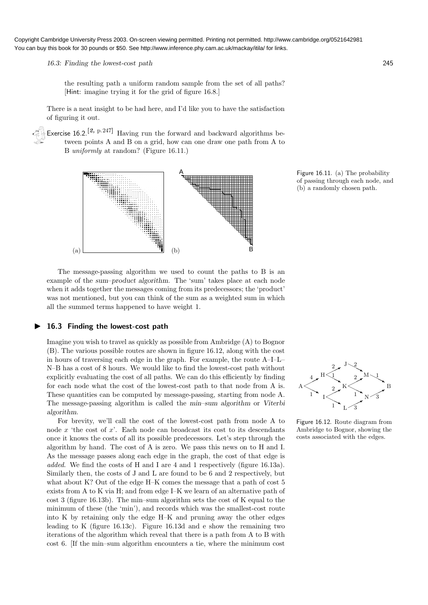16.3: Finding the lowest-cost path 245

the resulting path a uniform random sample from the set of all paths? [Hint: imagine trying it for the grid of figure 16.8.]

There is a neat insight to be had here, and I'd like you to have the satisfaction of figuring it out.

Exercise 16.2.<sup>[2, p.247]</sup> Having run the forward and backward algorithms between points A and B on a grid, how can one draw one path from A to B uniformly at random? (Figure 16.11.)



Figure 16.11. (a) The probability of passing through each node, and (b) a randomly chosen path.

The message-passing algorithm we used to count the paths to B is an example of the sum–product algorithm. The 'sum' takes place at each node when it adds together the messages coming from its predecessors; the 'product' was not mentioned, but you can think of the sum as a weighted sum in which all the summed terms happened to have weight 1.

# ▶ 16.3 Finding the lowest-cost path

Imagine you wish to travel as quickly as possible from Ambridge (A) to Bognor (B). The various possible routes are shown in figure 16.12, along with the cost in hours of traversing each edge in the graph. For example, the route A–I–L– N–B has a cost of 8 hours. We would like to find the lowest-cost path without explicitly evaluating the cost of all paths. We can do this efficiently by finding for each node what the cost of the lowest-cost path to that node from A is. These quantities can be computed by message-passing, starting from node A. The message-passing algorithm is called the min–sum algorithm or Viterbi algorithm.

For brevity, we'll call the cost of the lowest-cost path from node A to node  $x$  'the cost of  $x$ '. Each node can broadcast its cost to its descendants once it knows the costs of all its possible predecessors. Let's step through the algorithm by hand. The cost of A is zero. We pass this news on to H and I. As the message passes along each edge in the graph, the cost of that edge is added. We find the costs of H and I are 4 and 1 respectively (figure 16.13a). Similarly then, the costs of J and L are found to be 6 and 2 respectively, but what about K? Out of the edge H–K comes the message that a path of cost 5 exists from A to K via H; and from edge I–K we learn of an alternative path of cost 3 (figure 16.13b). The min–sum algorithm sets the cost of K equal to the minimum of these (the 'min'), and records which was the smallest-cost route into K by retaining only the edge H–K and pruning away the other edges leading to K (figure 16.13c). Figure 16.13d and e show the remaining two iterations of the algorithm which reveal that there is a path from A to B with cost 6. [If the min–sum algorithm encounters a tie, where the minimum cost



Figure 16.12. Route diagram from Ambridge to Bognor, showing the costs associated with the edges.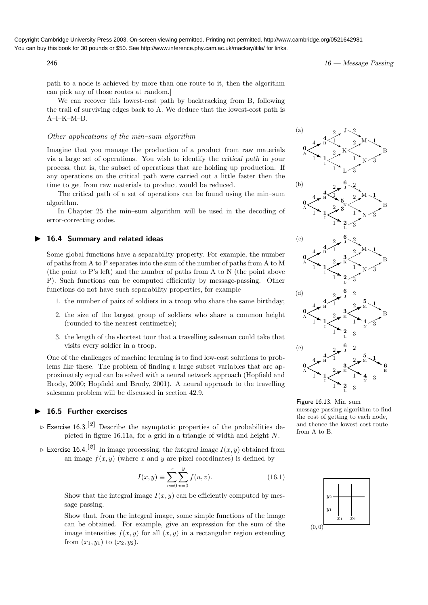$$
16 \longrightarrow Message Passing
$$

path to a node is achieved by more than one route to it, then the algorithm can pick any of those routes at random.]

We can recover this lowest-cost path by backtracking from B, following the trail of surviving edges back to A. We deduce that the lowest-cost path is A–I–K–M–B.

# Other applications of the min–sum algorithm

Imagine that you manage the production of a product from raw materials via a large set of operations. You wish to identify the critical path in your process, that is, the subset of operations that are holding up production. If any operations on the critical path were carried out a little faster then the time to get from raw materials to product would be reduced.

The critical path of a set of operations can be found using the min–sum algorithm.

In Chapter 25 the min–sum algorithm will be used in the decoding of error-correcting codes.

# ▶ 16.4 Summary and related ideas

Some global functions have a separability property. For example, the number of paths from A to P separates into the sum of the number of paths from A to M (the point to P's left) and the number of paths from A to N (the point above P). Such functions can be computed efficiently by message-passing. Other functions do not have such separability properties, for example

- 1. the number of pairs of soldiers in a troop who share the same birthday;
- 2. the size of the largest group of soldiers who share a common height (rounded to the nearest centimetre);
- 3. the length of the shortest tour that a travelling salesman could take that visits every soldier in a troop.

One of the challenges of machine learning is to find low-cost solutions to problems like these. The problem of finding a large subset variables that are approximately equal can be solved with a neural network approach (Hopfield and Brody, 2000; Hopfield and Brody, 2001). A neural approach to the travelling salesman problem will be discussed in section 42.9.

# 16.5 Further exercises

- $\triangleright$  Exercise 16.3.<sup>[2]</sup> Describe the asymptotic properties of the probabilities depicted in figure 16.11a, for a grid in a triangle of width and height N.
- $\triangleright$  Exercise 16.4.<sup>[2]</sup> In image processing, the integral image  $I(x, y)$  obtained from an image  $f(x, y)$  (where x and y are pixel coordinates) is defined by

$$
I(x,y) \equiv \sum_{u=0}^{x} \sum_{v=0}^{y} f(u,v).
$$
 (16.1)

Show that the integral image  $I(x, y)$  can be efficiently computed by message passing.

Show that, from the integral image, some simple functions of the image can be obtained. For example, give an expression for the sum of the  $(0, 0)$ image intensities  $f(x, y)$  for all  $(x, y)$  in a rectangular region extending from  $(x_1, y_1)$  to  $(x_2, y_2)$ .



Figure 16.13. Min–sum message-passing algorithm to find the cost of getting to each node, and thence the lowest cost route from A to B.